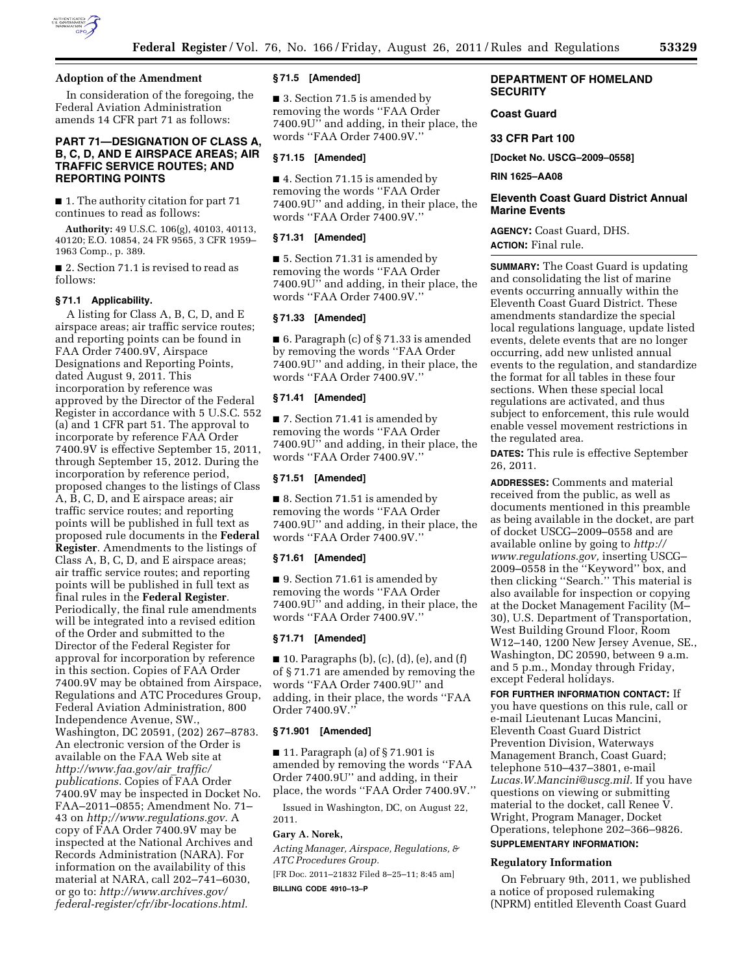

# **Adoption of the Amendment**

In consideration of the foregoing, the Federal Aviation Administration amends 14 CFR part 71 as follows:

# **PART 71—DESIGNATION OF CLASS A, B, C, D, AND E AIRSPACE AREAS; AIR TRAFFIC SERVICE ROUTES; AND REPORTING POINTS**

■ 1. The authority citation for part 71 continues to read as follows:

**Authority:** 49 U.S.C. 106(g), 40103, 40113, 40120; E.O. 10854, 24 FR 9565, 3 CFR 1959– 1963 Comp., p. 389.

■ 2. Section 71.1 is revised to read as follows:

#### **§ 71.1 Applicability.**

A listing for Class A, B, C, D, and E airspace areas; air traffic service routes; and reporting points can be found in FAA Order 7400.9V, Airspace Designations and Reporting Points, dated August 9, 2011. This incorporation by reference was approved by the Director of the Federal Register in accordance with 5 U.S.C. 552 (a) and 1 CFR part 51. The approval to incorporate by reference FAA Order 7400.9V is effective September 15, 2011, through September 15, 2012. During the incorporation by reference period, proposed changes to the listings of Class A, B, C, D, and E airspace areas; air traffic service routes; and reporting points will be published in full text as proposed rule documents in the **Federal Register**. Amendments to the listings of Class A, B, C, D, and E airspace areas; air traffic service routes; and reporting points will be published in full text as final rules in the **Federal Register**. Periodically, the final rule amendments will be integrated into a revised edition of the Order and submitted to the Director of the Federal Register for approval for incorporation by reference in this section. Copies of FAA Order 7400.9V may be obtained from Airspace, Regulations and ATC Procedures Group, Federal Aviation Administration, 800 Independence Avenue, SW., Washington, DC 20591, (202) 267–8783. An electronic version of the Order is available on the FAA Web site at *[http://www.faa.gov/air](http://www.faa.gov/air_traffic/publications)*\_*traffic/ [publications.](http://www.faa.gov/air_traffic/publications)* Copies of FAA Order 7400.9V may be inspected in Docket No. FAA–2011–0855; Amendment No. 71– 43 on *[http;//www.regulations.gov.](http:////www.regulations.gov)* A copy of FAA Order 7400.9V may be inspected at the National Archives and Records Administration (NARA). For information on the availability of this material at NARA, call 202–741–6030, or go to: *[http://www.archives.gov/](http://www.archives.gov/federal-register/cfr/ibr-locations.html) [federal-register/cfr/ibr-locations.html.](http://www.archives.gov/federal-register/cfr/ibr-locations.html)* 

## **§ 71.5 [Amended]**

■ 3. Section 71.5 is amended by removing the words ''FAA Order 7400.9U'' and adding, in their place, the words ''FAA Order 7400.9V.''

### **§ 71.15 [Amended]**

■ 4. Section 71.15 is amended by removing the words ''FAA Order 7400.9U'' and adding, in their place, the words ''FAA Order 7400.9V.''

#### **§ 71.31 [Amended]**

■ 5. Section 71.31 is amended by removing the words ''FAA Order 7400.9U'' and adding, in their place, the words ''FAA Order 7400.9V.''

# **§ 71.33 [Amended]**

■ 6. Paragraph (c) of § 71.33 is amended by removing the words ''FAA Order 7400.9U'' and adding, in their place, the words ''FAA Order 7400.9V.''

## **§ 71.41 [Amended]**

■ 7. Section 71.41 is amended by removing the words ''FAA Order 7400.9U'' and adding, in their place, the words ''FAA Order 7400.9V.''

## **§ 71.51 [Amended]**

■ 8. Section 71.51 is amended by removing the words ''FAA Order 7400.9U'' and adding, in their place, the words ''FAA Order 7400.9V.''

# **§ 71.61 [Amended]**

■ 9. Section 71.61 is amended by removing the words ''FAA Order 7400.9U'' and adding, in their place, the words ''FAA Order 7400.9V.''

## **§ 71.71 [Amended]**

 $\blacksquare$  10. Paragraphs (b), (c), (d), (e), and (f) of § 71.71 are amended by removing the words ''FAA Order 7400.9U'' and adding, in their place, the words ''FAA Order 7400.9V.''

#### **§ 71.901 [Amended]**

 $\blacksquare$  11. Paragraph (a) of §71.901 is amended by removing the words ''FAA Order 7400.9U'' and adding, in their place, the words ''FAA Order 7400.9V.''

Issued in Washington, DC, on August 22, 2011.

## **Gary A. Norek,**

*Acting Manager, Airspace, Regulations, & ATC Procedures Group.* 

[FR Doc. 2011–21832 Filed 8–25–11; 8:45 am]

**BILLING CODE 4910–13–P** 

# **DEPARTMENT OF HOMELAND SECURITY**

# **Coast Guard**

# **33 CFR Part 100**

**[Docket No. USCG–2009–0558]** 

**RIN 1625–AA08** 

# **Eleventh Coast Guard District Annual Marine Events**

**AGENCY:** Coast Guard, DHS. **ACTION:** Final rule.

**SUMMARY:** The Coast Guard is updating and consolidating the list of marine events occurring annually within the Eleventh Coast Guard District. These amendments standardize the special local regulations language, update listed events, delete events that are no longer occurring, add new unlisted annual events to the regulation, and standardize the format for all tables in these four sections. When these special local regulations are activated, and thus subject to enforcement, this rule would enable vessel movement restrictions in the regulated area.

**DATES:** This rule is effective September 26, 2011.

**ADDRESSES:** Comments and material received from the public, as well as documents mentioned in this preamble as being available in the docket, are part of docket USCG–2009–0558 and are available online by going to *[http://](http://www.regulations.gov)  [www.regulations.gov,](http://www.regulations.gov)* inserting USCG– 2009–0558 in the ''Keyword'' box, and then clicking ''Search.'' This material is also available for inspection or copying at the Docket Management Facility (M– 30), U.S. Department of Transportation, West Building Ground Floor, Room W12–140, 1200 New Jersey Avenue, SE., Washington, DC 20590, between 9 a.m. and 5 p.m., Monday through Friday, except Federal holidays.

**FOR FURTHER INFORMATION CONTACT:** If you have questions on this rule, call or e-mail Lieutenant Lucas Mancini, Eleventh Coast Guard District Prevention Division, Waterways Management Branch, Coast Guard; telephone 510–437–3801, e-mail *[Lucas.W.Mancini@uscg.mil.](mailto:Lucas.W.Mancini@uscg.mil)* If you have questions on viewing or submitting material to the docket, call Renee V. Wright, Program Manager, Docket Operations, telephone 202–366–9826. **SUPPLEMENTARY INFORMATION:**

# **Regulatory Information**

On February 9th, 2011, we published a notice of proposed rulemaking (NPRM) entitled Eleventh Coast Guard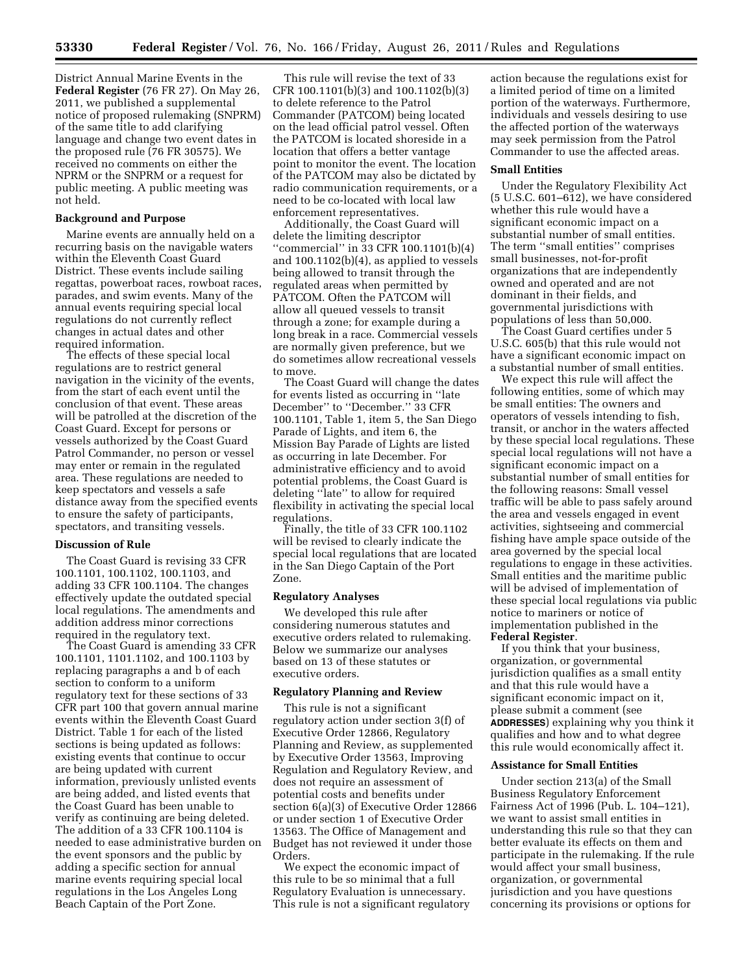District Annual Marine Events in the **Federal Register** (76 FR 27). On May 26, 2011, we published a supplemental notice of proposed rulemaking (SNPRM) of the same title to add clarifying language and change two event dates in the proposed rule (76 FR 30575). We received no comments on either the NPRM or the SNPRM or a request for public meeting. A public meeting was not held.

#### **Background and Purpose**

Marine events are annually held on a recurring basis on the navigable waters within the Eleventh Coast Guard District. These events include sailing regattas, powerboat races, rowboat races, parades, and swim events. Many of the annual events requiring special local regulations do not currently reflect changes in actual dates and other required information.

The effects of these special local regulations are to restrict general navigation in the vicinity of the events, from the start of each event until the conclusion of that event. These areas will be patrolled at the discretion of the Coast Guard. Except for persons or vessels authorized by the Coast Guard Patrol Commander, no person or vessel may enter or remain in the regulated area. These regulations are needed to keep spectators and vessels a safe distance away from the specified events to ensure the safety of participants, spectators, and transiting vessels.

## **Discussion of Rule**

The Coast Guard is revising 33 CFR 100.1101, 100.1102, 100.1103, and adding 33 CFR 100.1104. The changes effectively update the outdated special local regulations. The amendments and addition address minor corrections required in the regulatory text.

The Coast Guard is amending 33 CFR 100.1101, 1101.1102, and 100.1103 by replacing paragraphs a and b of each section to conform to a uniform regulatory text for these sections of 33 CFR part 100 that govern annual marine events within the Eleventh Coast Guard District. Table 1 for each of the listed sections is being updated as follows: existing events that continue to occur are being updated with current information, previously unlisted events are being added, and listed events that the Coast Guard has been unable to verify as continuing are being deleted. The addition of a 33 CFR 100.1104 is needed to ease administrative burden on the event sponsors and the public by adding a specific section for annual marine events requiring special local regulations in the Los Angeles Long Beach Captain of the Port Zone.

This rule will revise the text of 33 CFR 100.1101(b)(3) and 100.1102(b)(3) to delete reference to the Patrol Commander (PATCOM) being located on the lead official patrol vessel. Often the PATCOM is located shoreside in a location that offers a better vantage point to monitor the event. The location of the PATCOM may also be dictated by radio communication requirements, or a need to be co-located with local law enforcement representatives.

Additionally, the Coast Guard will delete the limiting descriptor ''commercial'' in 33 CFR 100.1101(b)(4) and 100.1102(b)(4), as applied to vessels being allowed to transit through the regulated areas when permitted by PATCOM. Often the PATCOM will allow all queued vessels to transit through a zone; for example during a long break in a race. Commercial vessels are normally given preference, but we do sometimes allow recreational vessels to move.

The Coast Guard will change the dates for events listed as occurring in ''late December'' to ''December.'' 33 CFR 100.1101, Table 1, item 5, the San Diego Parade of Lights, and item 6, the Mission Bay Parade of Lights are listed as occurring in late December. For administrative efficiency and to avoid potential problems, the Coast Guard is deleting ''late'' to allow for required flexibility in activating the special local regulations.

Finally, the title of 33 CFR 100.1102 will be revised to clearly indicate the special local regulations that are located in the San Diego Captain of the Port Zone.

## **Regulatory Analyses**

We developed this rule after considering numerous statutes and executive orders related to rulemaking. Below we summarize our analyses based on 13 of these statutes or executive orders.

## **Regulatory Planning and Review**

This rule is not a significant regulatory action under section 3(f) of Executive Order 12866, Regulatory Planning and Review, as supplemented by Executive Order 13563, Improving Regulation and Regulatory Review, and does not require an assessment of potential costs and benefits under section 6(a)(3) of Executive Order 12866 or under section 1 of Executive Order 13563. The Office of Management and Budget has not reviewed it under those Orders.

We expect the economic impact of this rule to be so minimal that a full Regulatory Evaluation is unnecessary. This rule is not a significant regulatory action because the regulations exist for a limited period of time on a limited portion of the waterways. Furthermore, individuals and vessels desiring to use the affected portion of the waterways may seek permission from the Patrol Commander to use the affected areas.

## **Small Entities**

Under the Regulatory Flexibility Act (5 U.S.C. 601–612), we have considered whether this rule would have a significant economic impact on a substantial number of small entities. The term ''small entities'' comprises small businesses, not-for-profit organizations that are independently owned and operated and are not dominant in their fields, and governmental jurisdictions with populations of less than 50,000.

The Coast Guard certifies under 5 U.S.C. 605(b) that this rule would not have a significant economic impact on a substantial number of small entities.

We expect this rule will affect the following entities, some of which may be small entities: The owners and operators of vessels intending to fish, transit, or anchor in the waters affected by these special local regulations. These special local regulations will not have a significant economic impact on a substantial number of small entities for the following reasons: Small vessel traffic will be able to pass safely around the area and vessels engaged in event activities, sightseeing and commercial fishing have ample space outside of the area governed by the special local regulations to engage in these activities. Small entities and the maritime public will be advised of implementation of these special local regulations via public notice to mariners or notice of implementation published in the **Federal Register**.

If you think that your business, organization, or governmental jurisdiction qualifies as a small entity and that this rule would have a significant economic impact on it, please submit a comment (see **ADDRESSES**) explaining why you think it qualifies and how and to what degree this rule would economically affect it.

## **Assistance for Small Entities**

Under section 213(a) of the Small Business Regulatory Enforcement Fairness Act of 1996 (Pub. L. 104–121), we want to assist small entities in understanding this rule so that they can better evaluate its effects on them and participate in the rulemaking. If the rule would affect your small business, organization, or governmental jurisdiction and you have questions concerning its provisions or options for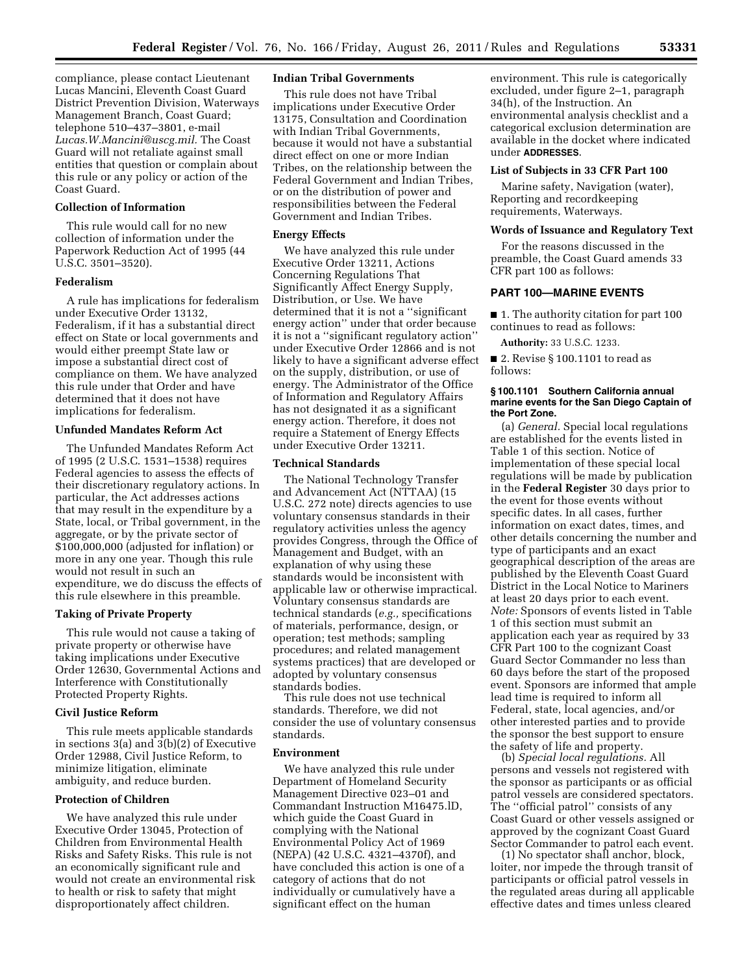compliance, please contact Lieutenant Lucas Mancini, Eleventh Coast Guard District Prevention Division, Waterways Management Branch, Coast Guard; telephone 510–437–3801, e-mail *[Lucas.W.Mancini@uscg.mil.](mailto:Lucas.W.Mancini@uscg.mil)* The Coast Guard will not retaliate against small entities that question or complain about this rule or any policy or action of the Coast Guard.

# **Collection of Information**

This rule would call for no new collection of information under the Paperwork Reduction Act of 1995 (44 U.S.C. 3501–3520).

## **Federalism**

A rule has implications for federalism under Executive Order 13132, Federalism, if it has a substantial direct effect on State or local governments and would either preempt State law or impose a substantial direct cost of compliance on them. We have analyzed this rule under that Order and have determined that it does not have implications for federalism.

#### **Unfunded Mandates Reform Act**

The Unfunded Mandates Reform Act of 1995 (2 U.S.C. 1531–1538) requires Federal agencies to assess the effects of their discretionary regulatory actions. In particular, the Act addresses actions that may result in the expenditure by a State, local, or Tribal government, in the aggregate, or by the private sector of \$100,000,000 (adjusted for inflation) or more in any one year. Though this rule would not result in such an expenditure, we do discuss the effects of this rule elsewhere in this preamble.

## **Taking of Private Property**

This rule would not cause a taking of private property or otherwise have taking implications under Executive Order 12630, Governmental Actions and Interference with Constitutionally Protected Property Rights.

# **Civil Justice Reform**

This rule meets applicable standards in sections 3(a) and 3(b)(2) of Executive Order 12988, Civil Justice Reform, to minimize litigation, eliminate ambiguity, and reduce burden.

#### **Protection of Children**

We have analyzed this rule under Executive Order 13045, Protection of Children from Environmental Health Risks and Safety Risks. This rule is not an economically significant rule and would not create an environmental risk to health or risk to safety that might disproportionately affect children.

# **Indian Tribal Governments**

This rule does not have Tribal implications under Executive Order 13175, Consultation and Coordination with Indian Tribal Governments. because it would not have a substantial direct effect on one or more Indian Tribes, on the relationship between the Federal Government and Indian Tribes, or on the distribution of power and responsibilities between the Federal Government and Indian Tribes.

#### **Energy Effects**

We have analyzed this rule under Executive Order 13211, Actions Concerning Regulations That Significantly Affect Energy Supply, Distribution, or Use. We have determined that it is not a ''significant energy action'' under that order because it is not a ''significant regulatory action'' under Executive Order 12866 and is not likely to have a significant adverse effect on the supply, distribution, or use of energy. The Administrator of the Office of Information and Regulatory Affairs has not designated it as a significant energy action. Therefore, it does not require a Statement of Energy Effects under Executive Order 13211.

## **Technical Standards**

The National Technology Transfer and Advancement Act (NTTAA) (15 U.S.C. 272 note) directs agencies to use voluntary consensus standards in their regulatory activities unless the agency provides Congress, through the Office of Management and Budget, with an explanation of why using these standards would be inconsistent with applicable law or otherwise impractical. Voluntary consensus standards are technical standards (*e.g.,* specifications of materials, performance, design, or operation; test methods; sampling procedures; and related management systems practices) that are developed or adopted by voluntary consensus standards bodies.

This rule does not use technical standards. Therefore, we did not consider the use of voluntary consensus standards.

## **Environment**

We have analyzed this rule under Department of Homeland Security Management Directive 023–01 and Commandant Instruction M16475.lD, which guide the Coast Guard in complying with the National Environmental Policy Act of 1969 (NEPA) (42 U.S.C. 4321–4370f), and have concluded this action is one of a category of actions that do not individually or cumulatively have a significant effect on the human

environment. This rule is categorically excluded, under figure 2–1, paragraph 34(h), of the Instruction. An environmental analysis checklist and a categorical exclusion determination are available in the docket where indicated under **ADDRESSES**.

#### **List of Subjects in 33 CFR Part 100**

Marine safety, Navigation (water), Reporting and recordkeeping requirements, Waterways.

## **Words of Issuance and Regulatory Text**

For the reasons discussed in the preamble, the Coast Guard amends 33 CFR part 100 as follows:

# **PART 100—MARINE EVENTS**

■ 1. The authority citation for part 100 continues to read as follows:

**Authority:** 33 U.S.C. 1233.

■ 2. Revise § 100.1101 to read as follows:

## **§ 100.1101 Southern California annual marine events for the San Diego Captain of the Port Zone.**

(a) *General.* Special local regulations are established for the events listed in Table 1 of this section. Notice of implementation of these special local regulations will be made by publication in the **Federal Register** 30 days prior to the event for those events without specific dates. In all cases, further information on exact dates, times, and other details concerning the number and type of participants and an exact geographical description of the areas are published by the Eleventh Coast Guard District in the Local Notice to Mariners at least 20 days prior to each event. *Note:* Sponsors of events listed in Table 1 of this section must submit an application each year as required by 33 CFR Part 100 to the cognizant Coast Guard Sector Commander no less than 60 days before the start of the proposed event. Sponsors are informed that ample lead time is required to inform all Federal, state, local agencies, and/or other interested parties and to provide the sponsor the best support to ensure the safety of life and property.

(b) *Special local regulations.* All persons and vessels not registered with the sponsor as participants or as official patrol vessels are considered spectators. The ''official patrol'' consists of any Coast Guard or other vessels assigned or approved by the cognizant Coast Guard Sector Commander to patrol each event.

(1) No spectator shall anchor, block, loiter, nor impede the through transit of participants or official patrol vessels in the regulated areas during all applicable effective dates and times unless cleared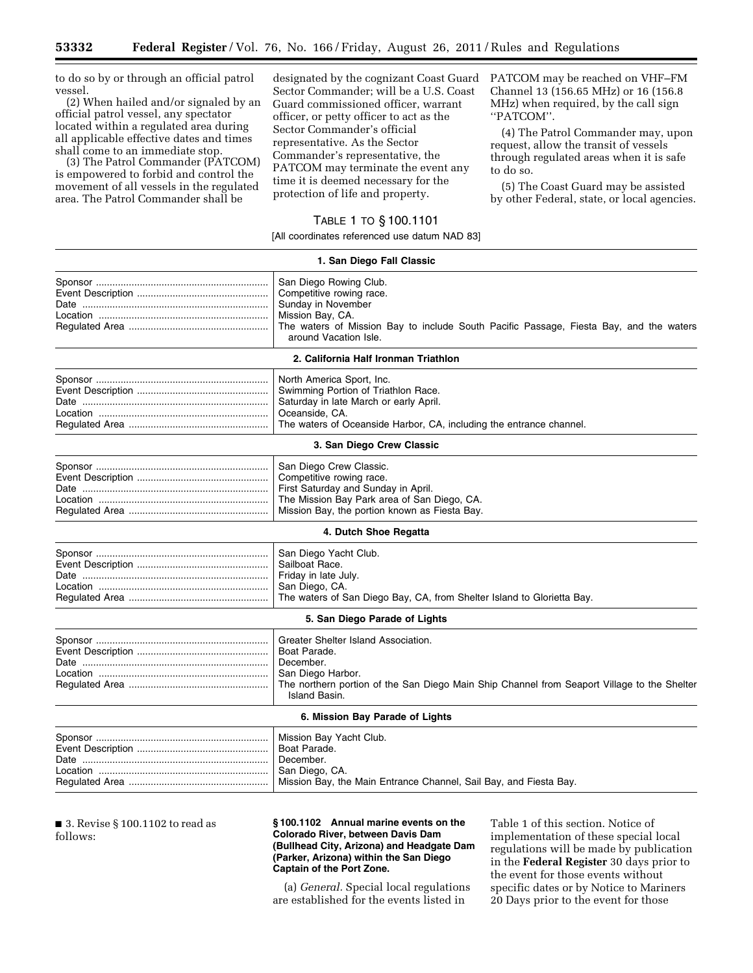to do so by or through an official patrol vessel.

(2) When hailed and/or signaled by an official patrol vessel, any spectator located within a regulated area during all applicable effective dates and times shall come to an immediate stop.

(3) The Patrol Commander (PATCOM) is empowered to forbid and control the movement of all vessels in the regulated area. The Patrol Commander shall be

designated by the cognizant Coast Guard Sector Commander; will be a U.S. Coast Guard commissioned officer, warrant officer, or petty officer to act as the Sector Commander's official representative. As the Sector Commander's representative, the PATCOM may terminate the event any time it is deemed necessary for the protection of life and property.

# TABLE 1 TO § 100.1101

[All coordinates referenced use datum NAD 83]

|                                   | 1. San Diego Fall Classic                                                                                                                                                                                       |
|-----------------------------------|-----------------------------------------------------------------------------------------------------------------------------------------------------------------------------------------------------------------|
|                                   | San Diego Rowing Club.<br>Competitive rowing race.<br>Sunday in November<br>Mission Bay, CA.<br>The waters of Mission Bay to include South Pacific Passage, Fiesta Bay, and the waters<br>around Vacation Isle. |
|                                   | 2. California Half Ironman Triathlon                                                                                                                                                                            |
|                                   | North America Sport, Inc.<br>Swimming Portion of Triathlon Race.<br>Saturday in late March or early April.<br>Oceanside, CA.<br>The waters of Oceanside Harbor, CA, including the entrance channel.             |
|                                   | 3. San Diego Crew Classic                                                                                                                                                                                       |
|                                   | San Diego Crew Classic.<br>Competitive rowing race.<br>First Saturday and Sunday in April.<br>The Mission Bay Park area of San Diego, CA.<br>Mission Bay, the portion known as Fiesta Bay.                      |
|                                   | 4. Dutch Shoe Regatta                                                                                                                                                                                           |
|                                   | San Diego Yacht Club.<br>Sailboat Race.<br>Friday in late July.<br>San Diego, CA.<br>The waters of San Diego Bay, CA, from Shelter Island to Glorietta Bay.                                                     |
|                                   | 5. San Diego Parade of Lights                                                                                                                                                                                   |
|                                   | Greater Shelter Island Association.<br>Boat Parade.<br>December.<br>San Diego Harbor.<br>The northern portion of the San Diego Main Ship Channel from Seaport Village to the Shelter<br>Island Basin.           |
|                                   | 6. Mission Bay Parade of Lights                                                                                                                                                                                 |
|                                   | Mission Bay Yacht Club.<br>Boat Parade.<br>December.<br>San Diego, CA.<br>Mission Bay, the Main Entrance Channel, Sail Bay, and Fiesta Bay.                                                                     |
| ■ 3. Revise § 100.1102 to read as | §100.1102 Annual marine events on the<br>Table 1 of this section. Notice of                                                                                                                                     |

follows:

## **§ 100.1102 Annual marine events on the Colorado River, between Davis Dam (Bullhead City, Arizona) and Headgate Dam (Parker, Arizona) within the San Diego Captain of the Port Zone.**

(a) *General.* Special local regulations are established for the events listed in

Table 1 of this section. Notice of implementation of these special local regulations will be made by publication in the **Federal Register** 30 days prior to the event for those events without specific dates or by Notice to Mariners 20 Days prior to the event for those

PATCOM may be reached on VHF–FM Channel 13 (156.65 MHz) or 16 (156.8 MHz) when required, by the call sign

(4) The Patrol Commander may, upon request, allow the transit of vessels through regulated areas when it is safe

(5) The Coast Guard may be assisted by other Federal, state, or local agencies.

''PATCOM''.

to do so.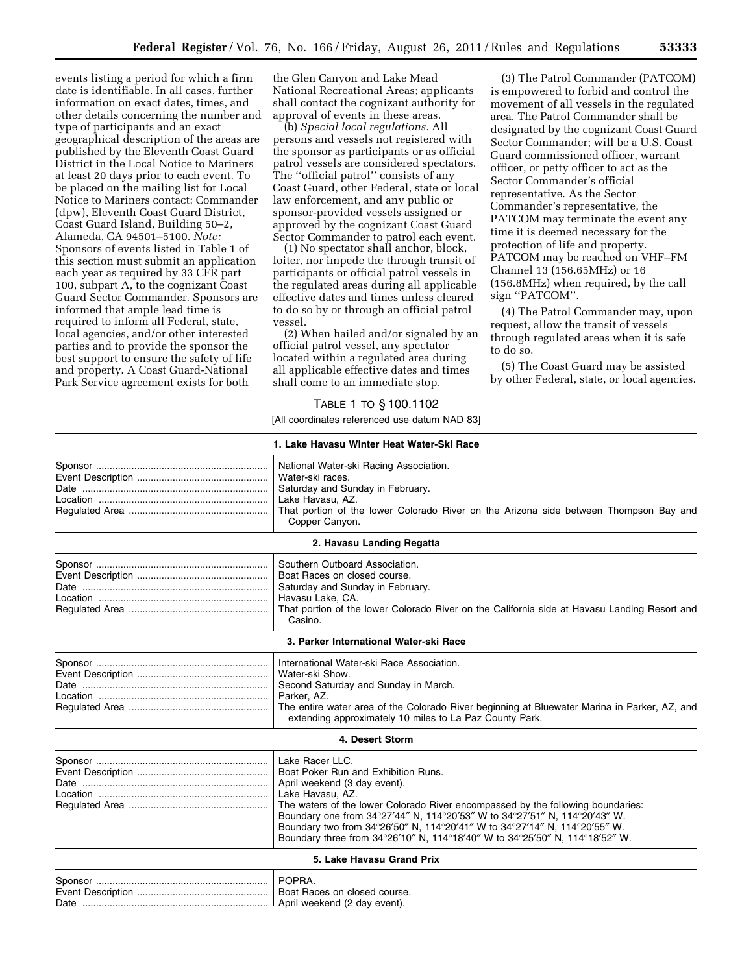events listing a period for which a firm date is identifiable. In all cases, further information on exact dates, times, and other details concerning the number and type of participants and an exact geographical description of the areas are published by the Eleventh Coast Guard District in the Local Notice to Mariners at least 20 days prior to each event. To be placed on the mailing list for Local Notice to Mariners contact: Commander (dpw), Eleventh Coast Guard District, Coast Guard Island, Building 50–2, Alameda, CA 94501–5100. *Note:*  Sponsors of events listed in Table 1 of this section must submit an application each year as required by 33 CFR part 100, subpart A, to the cognizant Coast Guard Sector Commander. Sponsors are informed that ample lead time is required to inform all Federal, state, local agencies, and/or other interested parties and to provide the sponsor the best support to ensure the safety of life and property. A Coast Guard-National Park Service agreement exists for both

the Glen Canyon and Lake Mead National Recreational Areas; applicants shall contact the cognizant authority for approval of events in these areas.

(b) *Special local regulations.* All persons and vessels not registered with the sponsor as participants or as official patrol vessels are considered spectators. The ''official patrol'' consists of any Coast Guard, other Federal, state or local law enforcement, and any public or sponsor-provided vessels assigned or approved by the cognizant Coast Guard Sector Commander to patrol each event.

(1) No spectator shall anchor, block, loiter, nor impede the through transit of participants or official patrol vessels in the regulated areas during all applicable effective dates and times unless cleared to do so by or through an official patrol vessel.

(2) When hailed and/or signaled by an official patrol vessel, any spectator located within a regulated area during all applicable effective dates and times shall come to an immediate stop.

(3) The Patrol Commander (PATCOM) is empowered to forbid and control the movement of all vessels in the regulated area. The Patrol Commander shall be designated by the cognizant Coast Guard Sector Commander; will be a U.S. Coast Guard commissioned officer, warrant officer, or petty officer to act as the Sector Commander's official representative. As the Sector Commander's representative, the PATCOM may terminate the event any time it is deemed necessary for the protection of life and property. PATCOM may be reached on VHF–FM Channel 13 (156.65MHz) or 16 (156.8MHz) when required, by the call sign ''PATCOM''.

(4) The Patrol Commander may, upon request, allow the transit of vessels through regulated areas when it is safe to do so.

(5) The Coast Guard may be assisted by other Federal, state, or local agencies.

# TABLE 1 TO § 100.1102

[All coordinates referenced use datum NAD 83]

|                                                                                                                                                                                                                                   | 1. Lake Havasu Winter Heat Water-Ski Race                                                                                                                                                                                                                                                                                                                                                                                              |
|-----------------------------------------------------------------------------------------------------------------------------------------------------------------------------------------------------------------------------------|----------------------------------------------------------------------------------------------------------------------------------------------------------------------------------------------------------------------------------------------------------------------------------------------------------------------------------------------------------------------------------------------------------------------------------------|
|                                                                                                                                                                                                                                   | National Water-ski Racing Association.<br>Water-ski races.<br>Saturday and Sunday in February.<br>Lake Havasu, AZ.<br>That portion of the lower Colorado River on the Arizona side between Thompson Bay and<br>Copper Canyon.                                                                                                                                                                                                          |
|                                                                                                                                                                                                                                   | 2. Havasu Landing Regatta                                                                                                                                                                                                                                                                                                                                                                                                              |
|                                                                                                                                                                                                                                   | Southern Outboard Association.<br>Boat Races on closed course.<br>Saturday and Sunday in February.<br>Havasu Lake, CA.<br>That portion of the lower Colorado River on the California side at Havasu Landing Resort and<br>Casino.                                                                                                                                                                                                      |
|                                                                                                                                                                                                                                   | 3. Parker International Water-ski Race                                                                                                                                                                                                                                                                                                                                                                                                 |
|                                                                                                                                                                                                                                   | International Water-ski Race Association.<br>Water-ski Show.<br>Second Saturday and Sunday in March.<br>Parker, AZ.<br>The entire water area of the Colorado River beginning at Bluewater Marina in Parker, AZ, and<br>extending approximately 10 miles to La Paz County Park.                                                                                                                                                         |
|                                                                                                                                                                                                                                   | 4. Desert Storm                                                                                                                                                                                                                                                                                                                                                                                                                        |
|                                                                                                                                                                                                                                   | Lake Racer LLC.<br>Boat Poker Run and Exhibition Runs.<br>April weekend (3 day event).<br>Lake Havasu, AZ.<br>The waters of the lower Colorado River encompassed by the following boundaries:<br>Boundary one from 34°27'44" N, 114°20'53" W to 34°27'51" N, 114°20'43" W.<br>Boundary two from 34°26'50" N, 114°20'41" W to 34°27'14" N, 114°20'55" W.<br>Boundary three from 34°26'10" N, 114°18'40" W to 34°25'50" N, 114°18'52" W. |
|                                                                                                                                                                                                                                   | 5. Lake Havasu Grand Prix                                                                                                                                                                                                                                                                                                                                                                                                              |
| $\mathbf{A}$ . The contraction of the contract of the contract of the contract of the contract of the contract of the contract of the contract of the contract of the contract of the contract of the contract of the contract of | POPRA.<br>والمتحال والمستحدث والمستحدث والمتحالية                                                                                                                                                                                                                                                                                                                                                                                      |

|      | Boat Races on closed course. |
|------|------------------------------|
| Date |                              |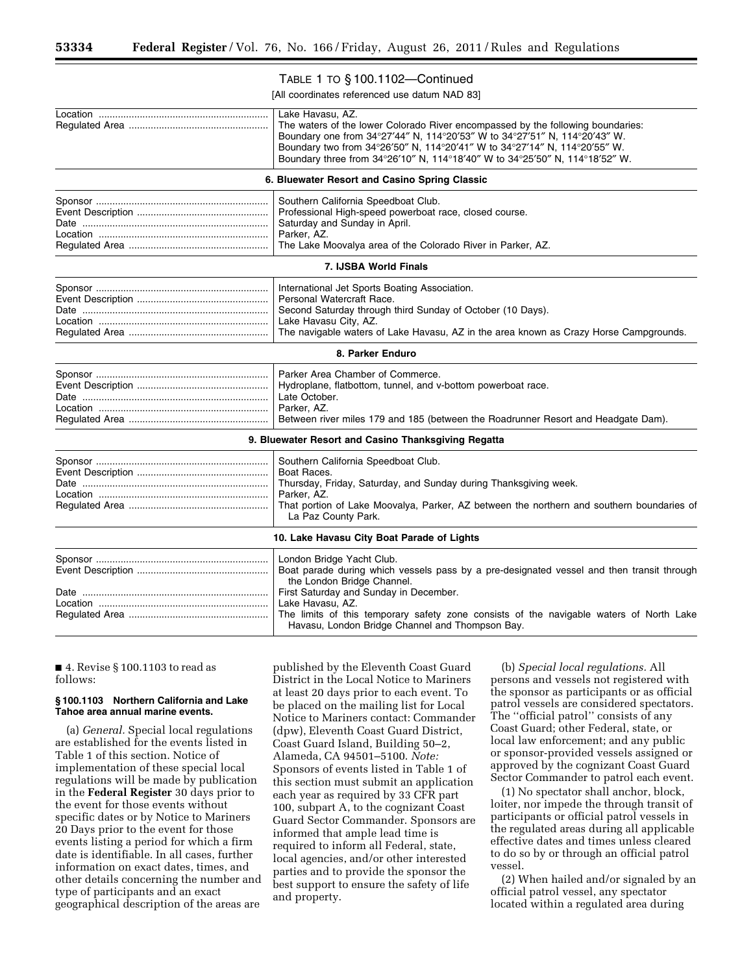# TABLE 1 TO § 100.1102—Continued

[All coordinates referenced use datum NAD 83]

|                                               | Lake Havasu, AZ.<br>The waters of the lower Colorado River encompassed by the following boundaries:<br>Boundary one from 34°27'44" N, 114°20'53" W to 34°27'51" N, 114°20'43" W.<br>Boundary two from 34°26'50" N, 114°20'41" W to 34°27'14" N, 114°20'55" W.<br>Boundary three from 34°26'10" N, 114°18'40" W to 34°25'50" N, 114°18'52" W. |  |
|-----------------------------------------------|----------------------------------------------------------------------------------------------------------------------------------------------------------------------------------------------------------------------------------------------------------------------------------------------------------------------------------------------|--|
| 6. Bluewater Resort and Casino Spring Classic |                                                                                                                                                                                                                                                                                                                                              |  |
|                                               | Southern California Speedboat Club.<br>Professional High-speed powerboat race, closed course.<br>Saturday and Sunday in April.<br>Parker, AZ.<br>The Lake Moovalya area of the Colorado River in Parker, AZ.                                                                                                                                 |  |
|                                               | 7. IJSBA World Finals                                                                                                                                                                                                                                                                                                                        |  |
|                                               | International Jet Sports Boating Association.<br>Personal Watercraft Race.<br>Second Saturday through third Sunday of October (10 Days).<br>Lake Havasu City, AZ.<br>The navigable waters of Lake Havasu, AZ in the area known as Crazy Horse Campgrounds.                                                                                   |  |
|                                               | 8. Parker Enduro                                                                                                                                                                                                                                                                                                                             |  |
|                                               | Parker Area Chamber of Commerce.<br>Hydroplane, flatbottom, tunnel, and v-bottom powerboat race.<br>Late October.<br>Parker, AZ.<br>Between river miles 179 and 185 (between the Roadrunner Resort and Headgate Dam).                                                                                                                        |  |
|                                               | 9. Bluewater Resort and Casino Thanksgiving Regatta                                                                                                                                                                                                                                                                                          |  |
|                                               | Southern California Speedboat Club.<br>Boat Races.<br>Thursday, Friday, Saturday, and Sunday during Thanksgiving week.<br>Parker, AZ.<br>That portion of Lake Moovalya, Parker, AZ between the northern and southern boundaries of<br>La Paz County Park.                                                                                    |  |
|                                               | 10. Lake Havasu City Boat Parade of Lights                                                                                                                                                                                                                                                                                                   |  |
|                                               | London Bridge Yacht Club.<br>Boat parade during which vessels pass by a pre-designated vessel and then transit through<br>the London Bridge Channel.<br>First Saturday and Sunday in December.<br>Lake Havasu, AZ.<br>The limits of this temporary safety zone consists of the navigable waters of North Lake                                |  |
|                                               | Havasu, London Bridge Channel and Thompson Bay.                                                                                                                                                                                                                                                                                              |  |

■ 4. Revise § 100.1103 to read as follows:

# **§ 100.1103 Northern California and Lake Tahoe area annual marine events.**

(a) *General.* Special local regulations are established for the events listed in Table 1 of this section. Notice of implementation of these special local regulations will be made by publication in the **Federal Register** 30 days prior to the event for those events without specific dates or by Notice to Mariners 20 Days prior to the event for those events listing a period for which a firm date is identifiable. In all cases, further information on exact dates, times, and other details concerning the number and type of participants and an exact geographical description of the areas are

published by the Eleventh Coast Guard District in the Local Notice to Mariners at least 20 days prior to each event. To be placed on the mailing list for Local Notice to Mariners contact: Commander (dpw), Eleventh Coast Guard District, Coast Guard Island, Building 50–2, Alameda, CA 94501–5100. *Note:*  Sponsors of events listed in Table 1 of this section must submit an application each year as required by 33 CFR part 100, subpart A, to the cognizant Coast Guard Sector Commander. Sponsors are informed that ample lead time is required to inform all Federal, state, local agencies, and/or other interested parties and to provide the sponsor the best support to ensure the safety of life and property.

(b) *Special local regulations.* All persons and vessels not registered with the sponsor as participants or as official patrol vessels are considered spectators. The ''official patrol'' consists of any Coast Guard; other Federal, state, or local law enforcement; and any public or sponsor-provided vessels assigned or approved by the cognizant Coast Guard Sector Commander to patrol each event.

(1) No spectator shall anchor, block, loiter, nor impede the through transit of participants or official patrol vessels in the regulated areas during all applicable effective dates and times unless cleared to do so by or through an official patrol vessel.

(2) When hailed and/or signaled by an official patrol vessel, any spectator located within a regulated area during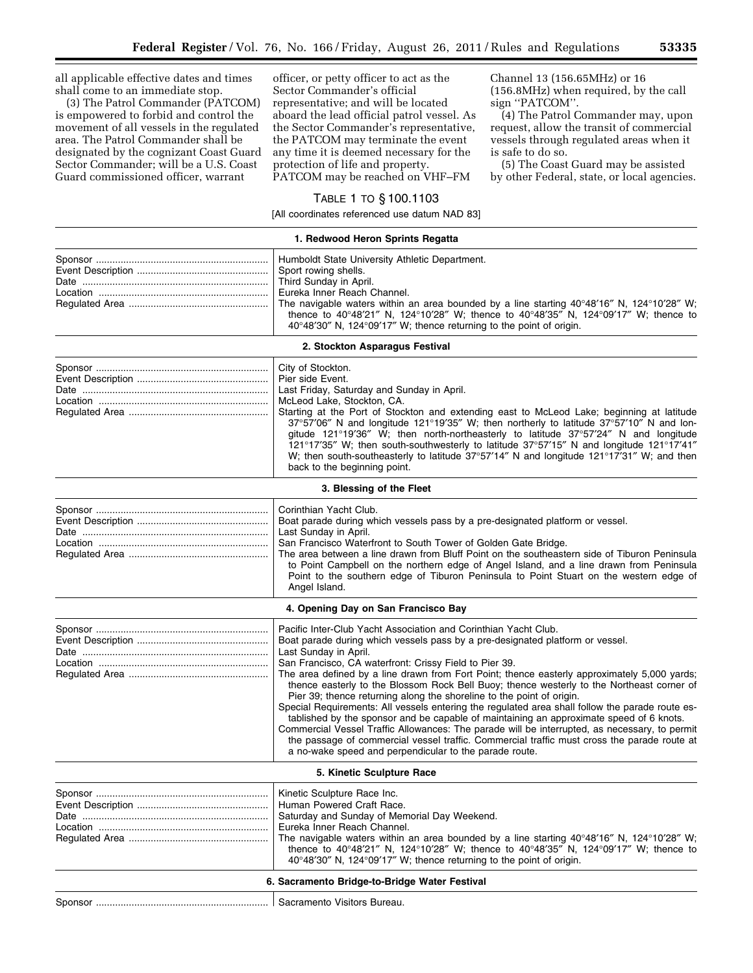all applicable effective dates and times shall come to an immediate stop.

(3) The Patrol Commander (PATCOM) is empowered to forbid and control the movement of all vessels in the regulated area. The Patrol Commander shall be designated by the cognizant Coast Guard Sector Commander; will be a U.S. Coast Guard commissioned officer, warrant

officer, or petty officer to act as the Sector Commander's official representative; and will be located aboard the lead official patrol vessel. As the Sector Commander's representative, the PATCOM may terminate the event any time it is deemed necessary for the protection of life and property. PATCOM may be reached on VHF–FM

Channel 13 (156.65MHz) or 16 (156.8MHz) when required, by the call sign ''PATCOM''.

(4) The Patrol Commander may, upon request, allow the transit of commercial vessels through regulated areas when it is safe to do so.

(5) The Coast Guard may be assisted by other Federal, state, or local agencies.

# TABLE 1 TO § 100.1103

[All coordinates referenced use datum NAD 83]

#### **1. Redwood Heron Sprints Regatta**

|                                | Humboldt State University Athletic Department.<br>Sport rowing shells.                                                   |  |
|--------------------------------|--------------------------------------------------------------------------------------------------------------------------|--|
|                                | Third Sunday in April.                                                                                                   |  |
|                                | Eureka Inner Reach Channel.                                                                                              |  |
|                                | The navigable waters within an area bounded by a line starting $40^{\circ}48'16''$ N, $124^{\circ}10'28''$ W;            |  |
|                                | thence to 40°48'21" N, 124°10'28" W; thence to 40°48'35" N, 124°09'17" W; thence to                                      |  |
|                                | 40°48'30" N, 124°09'17" W; thence returning to the point of origin.                                                      |  |
| 2. Stockton Asparagus Festival |                                                                                                                          |  |
|                                | City of Stockton.                                                                                                        |  |
|                                | Pier side Event.                                                                                                         |  |
|                                | Last Friday, Saturday and Sunday in April.                                                                               |  |
|                                | McLeod Lake, Stockton, CA.                                                                                               |  |
|                                | Starting at the Port of Stockton and extending east to McLeod Lake; beginning at latitude                                |  |
|                                | 37°57'06" N and longitude 121°19'35" W; then northerly to latitude 37°57'10" N and lon-                                  |  |
|                                | gitude 121°19'36" W; then north-northeasterly to latitude 37°57'24" N and longitude                                      |  |
|                                | 121°17'35" W; then south-southwesterly to latitude 37°57'15" N and longitude 121°17'41"                                  |  |
|                                | W; then south-southeasterly to latitude 37°57'14" N and longitude 121°17'31" W; and then<br>back to the beginning point. |  |
|                                |                                                                                                                          |  |
|                                | 3. Blessing of the Fleet                                                                                                 |  |
|                                | Corinthian Yacht Club.                                                                                                   |  |
|                                | Boat parade during which vessels pass by a pre-designated platform or vessel.                                            |  |
|                                | Last Sunday in April.                                                                                                    |  |
|                                | San Francisco Waterfront to South Tower of Golden Gate Bridge.                                                           |  |
|                                | The area between a line drawn from Bluff Point on the southeastern side of Tiburon Peninsula                             |  |
|                                | to Point Campbell on the northern edge of Angel Island, and a line drawn from Peninsula                                  |  |
|                                | Point to the southern edge of Tiburon Peninsula to Point Stuart on the western edge of<br>Angel Island.                  |  |
|                                |                                                                                                                          |  |
|                                | 4. Opening Day on San Francisco Bay                                                                                      |  |
|                                | Pacific Inter-Club Yacht Association and Corinthian Yacht Club.                                                          |  |
|                                | Boat parade during which vessels pass by a pre-designated platform or vessel.                                            |  |
|                                | Last Sunday in April.                                                                                                    |  |
|                                | San Francisco, CA waterfront: Crissy Field to Pier 39.                                                                   |  |
|                                | The area defined by a line drawn from Fort Point; thence easterly approximately 5,000 yards;                             |  |
|                                | thence easterly to the Blossom Rock Bell Buoy; thence westerly to the Northeast corner of                                |  |
|                                | Pier 39; thence returning along the shoreline to the point of origin.                                                    |  |
|                                | Special Requirements: All vessels entering the regulated area shall follow the parade route es-                          |  |
|                                | tablished by the sponsor and be capable of maintaining an approximate speed of 6 knots.                                  |  |
|                                | Commercial Vessel Traffic Allowances: The parade will be interrupted, as necessary, to permit                            |  |
|                                | the passage of commercial vessel traffic. Commercial traffic must cross the parade route at                              |  |
|                                | a no-wake speed and perpendicular to the parade route.                                                                   |  |
|                                | 5. Kinetic Sculpture Race                                                                                                |  |
|                                | Kinetic Sculpture Race Inc.                                                                                              |  |
|                                | Human Powered Craft Race.                                                                                                |  |
|                                | Saturday and Sunday of Memorial Day Weekend.                                                                             |  |
|                                | Eureka Inner Reach Channel.                                                                                              |  |
|                                | The navigable waters within an area bounded by a line starting $40^{\circ}48'16''$ N, $124^{\circ}10'28''$ W;            |  |
|                                | thence to 40°48'21" N, 124°10'28" W; thence to 40°48'35" N, 124°09'17" W; thence to                                      |  |
|                                | 40°48'30" N, 124°09'17" W; thence returning to the point of origin.                                                      |  |
|                                | 6. Sacramento Bridge-to-Bridge Water Festival                                                                            |  |
|                                | Sacramento Visitors Bureau.                                                                                              |  |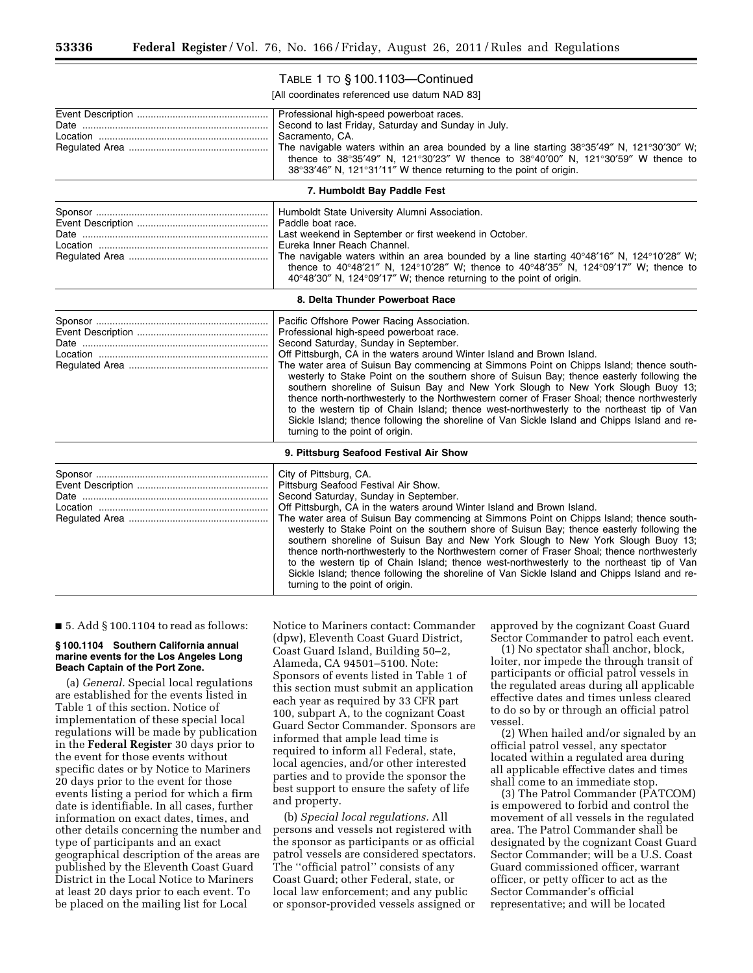# TABLE 1 TO § 100.1103—Continued

[All coordinates referenced use datum NAD 83]

| Professional high-speed powerboat races.<br>Second to last Friday, Saturday and Sunday in July.<br>Sacramento, CA.<br>The navigable waters within an area bounded by a line starting $38^{\circ}35'49''$ N, $121^{\circ}30'30''$ W;<br>thence to 38°35'49" N, 121°30'23" W thence to 38°40'00" N, 121°30'59" W thence to<br>38°33'46" N, 121°31'11" W thence returning to the point of origin.                                                                                                                                                                                                                                                                                                                                                                                                                         |
|------------------------------------------------------------------------------------------------------------------------------------------------------------------------------------------------------------------------------------------------------------------------------------------------------------------------------------------------------------------------------------------------------------------------------------------------------------------------------------------------------------------------------------------------------------------------------------------------------------------------------------------------------------------------------------------------------------------------------------------------------------------------------------------------------------------------|
| 7. Humboldt Bay Paddle Fest                                                                                                                                                                                                                                                                                                                                                                                                                                                                                                                                                                                                                                                                                                                                                                                            |
| Humboldt State University Alumni Association.<br>Paddle boat race.<br>Last weekend in September or first weekend in October.<br>Eureka Inner Reach Channel.<br>The navigable waters within an area bounded by a line starting $40^{\circ}48'16''$ N, $124^{\circ}10'28''$ W;<br>thence to 40°48'21" N, 124°10'28" W; thence to 40°48'35" N, 124°09'17" W; thence to<br>40°48'30" N, 124°09'17" W; thence returning to the point of origin.                                                                                                                                                                                                                                                                                                                                                                             |
| 8. Delta Thunder Powerboat Race                                                                                                                                                                                                                                                                                                                                                                                                                                                                                                                                                                                                                                                                                                                                                                                        |
| Pacific Offshore Power Racing Association.<br>Professional high-speed powerboat race.<br>Second Saturday, Sunday in September.<br>Off Pittsburgh, CA in the waters around Winter Island and Brown Island.<br>The water area of Suisun Bay commencing at Simmons Point on Chipps Island; thence south-<br>westerly to Stake Point on the southern shore of Suisun Bay; thence easterly following the<br>southern shoreline of Suisun Bay and New York Slough to New York Slough Buoy 13;<br>thence north-northwesterly to the Northwestern corner of Fraser Shoal; thence northwesterly<br>to the western tip of Chain Island; thence west-northwesterly to the northeast tip of Van<br>Sickle Island; thence following the shoreline of Van Sickle Island and Chipps Island and re-<br>turning to the point of origin. |
| 9. Pittsburg Seafood Festival Air Show                                                                                                                                                                                                                                                                                                                                                                                                                                                                                                                                                                                                                                                                                                                                                                                 |
| City of Pittsburg, CA.<br>Pittsburg Seafood Festival Air Show.<br>Second Saturday, Sunday in September.<br>Off Pittsburgh, CA in the waters around Winter Island and Brown Island.<br>The water area of Suisun Bay commencing at Simmons Point on Chipps Island; thence south-<br>westerly to Stake Point on the southern shore of Suisun Bay; thence easterly following the<br>southern shoreline of Suisun Bay and New York Slough to New York Slough Buoy 13;<br>thence north-northwesterly to the Northwestern corner of Fraser Shoal; thence northwesterly<br>to the western tip of Chain Island; thence west-northwesterly to the northeast tip of Van<br>Sickle Island; thence following the shoreline of Van Sickle Island and Chipps Island and re-<br>turning to the point of origin.                        |

 $\blacksquare$  5. Add § 100.1104 to read as follows:

## **§ 100.1104 Southern California annual marine events for the Los Angeles Long Beach Captain of the Port Zone.**

(a) *General.* Special local regulations are established for the events listed in Table 1 of this section. Notice of implementation of these special local regulations will be made by publication in the **Federal Register** 30 days prior to the event for those events without specific dates or by Notice to Mariners 20 days prior to the event for those events listing a period for which a firm date is identifiable. In all cases, further information on exact dates, times, and other details concerning the number and type of participants and an exact geographical description of the areas are published by the Eleventh Coast Guard District in the Local Notice to Mariners at least 20 days prior to each event. To be placed on the mailing list for Local

Notice to Mariners contact: Commander (dpw), Eleventh Coast Guard District, Coast Guard Island, Building 50–2, Alameda, CA 94501–5100. Note: Sponsors of events listed in Table 1 of this section must submit an application each year as required by 33 CFR part 100, subpart A, to the cognizant Coast Guard Sector Commander. Sponsors are informed that ample lead time is required to inform all Federal, state, local agencies, and/or other interested parties and to provide the sponsor the best support to ensure the safety of life and property.

(b) *Special local regulations.* All persons and vessels not registered with the sponsor as participants or as official patrol vessels are considered spectators. The ''official patrol'' consists of any Coast Guard; other Federal, state, or local law enforcement; and any public or sponsor-provided vessels assigned or approved by the cognizant Coast Guard Sector Commander to patrol each event.

(1) No spectator shall anchor, block, loiter, nor impede the through transit of participants or official patrol vessels in the regulated areas during all applicable effective dates and times unless cleared to do so by or through an official patrol vessel.

(2) When hailed and/or signaled by an official patrol vessel, any spectator located within a regulated area during all applicable effective dates and times shall come to an immediate stop.

(3) The Patrol Commander (PATCOM) is empowered to forbid and control the movement of all vessels in the regulated area. The Patrol Commander shall be designated by the cognizant Coast Guard Sector Commander; will be a U.S. Coast Guard commissioned officer, warrant officer, or petty officer to act as the Sector Commander's official representative; and will be located